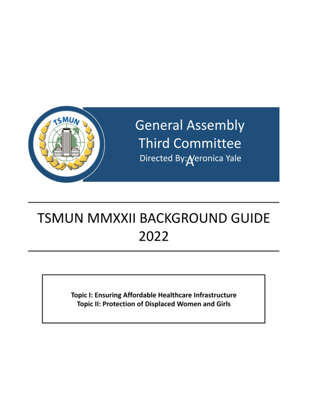

**General Assembly Third Committee** Directed By: Neronica Yale

# **TSMUN MMXXII BACKGROUND GUIDE** 2022

Topic I: Ensuring Affordable Healthcare Infrastructure Topic II: Protection of Displaced Women and Girls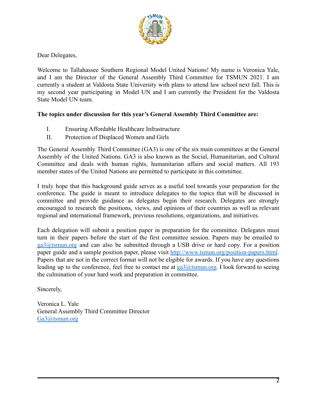

Dear Delegates,

Welcome to Tallahassee Southern Regional Model United Nations! My name is Veronica Yale, and I am the Director of the General Assembly Third Committee for TSMUN 2021. I am currently a student at Valdosta State University with plans to attend law school next fall. This is my second year participating in Model UN and I am currently the President for the Valdosta State Model UN team.

## **The topics under discussion for this year's General Assembly Third Committee are:**

- I. Ensuring Affordable Healthcare Infrastructure
- II. Protection of Displaced Women and Girls

The General Assembly Third Committee (GA3) is one of the six main committees at the General Assembly of the United Nations. GA3 is also known as the Social, Humanitarian, and Cultural Committee and deals with human rights, humanitarian affairs and social matters. All 193 member states of the United Nations are permitted to participate in this committee.

I truly hope that this background guide serves as a useful tool towards your preparation for the conference. The guide is meant to introduce delegates to the topics that will be discussed in committee and provide guidance as delegates begin their research. Delegates are strongly encouraged to research the positions, views, and opinions of their countries as well as relevant regional and international framework, previous resolutions, organizations, and initiatives.

Each delegation will submit a position paper in preparation for the committee. Delegates must turn in their papers before the start of the first committee session. Papers may be emailed to [ga3@tsmun.org](mailto:ga3@tsmun.org) and can also be submitted through a USB drive or hard copy. For a position paper guide and a sample position paper, please visit <http://www.tsmun.org/position-papers.html>. Papers that are not in the correct format will not be eligible for awards. If you have any questions leading up to the conference, feel free to contact me at  $g_0$  at smun.org. I look forward to seeing the culmination of your hard work and preparation in committee.

Sincerely,

Veronica L. Yale General Assembly Third Committee Director [Ga3@tsmun.org](mailto:Ga3@tsmun.org)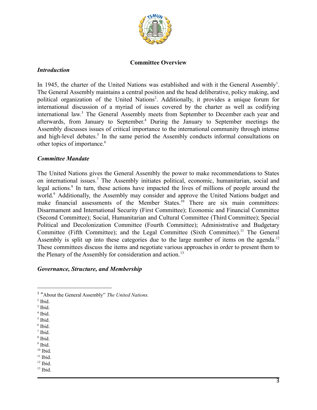

#### **Committee Overview**

#### *Introduction*

In 1945, the charter of the United Nations was established and with it the General Assembly<sup>1</sup>. The General Assembly maintains a central position and the head deliberative, policy making, and political organization of the United Nations<sup>2</sup>. Additionally, it provides a unique forum for international discussion of a myriad of issues covered by the charter as well as codifying international law.<sup>3</sup> The General Assembly meets from September to December each year and afterwards, from January to September.<sup>4</sup> During the January to September meetings the Assembly discusses issues of critical importance to the international community through intense and high-level debates.<sup>5</sup> In the same period the Assembly conducts informal consultations on other topics of importance.<sup>6</sup>

#### *Committee Mandate*

The United Nations gives the General Assembly the power to make recommendations to States on international issues.<sup>7</sup> The Assembly initiates political, economic, humanitarian, social and legal actions.<sup>8</sup> In turn, these actions have impacted the lives of millions of people around the world.<sup>9</sup> Additionally, the Assembly may consider and approve the United Nations budget and make financial assessments of the Member States.<sup>10</sup> There are six main committees: Disarmament and International Security (First Committee); Economic and Financial Committee (Second Committee); Social, Humanitarian and Cultural Committee (Third Committee); Special Political and Decolonization Committee (Fourth Committee); Administrative and Budgetary Committee (Fifth Committee); and the Legal Committee (Sixth Committee).<sup>11</sup> The General Assembly is split up into these categories due to the large number of items on the agenda.<sup>12</sup> These committees discuss the items and negotiate various approaches in order to present them to the Plenary of the Assembly for consideration and action.<sup>13</sup>

#### *Governance, Structure, and Membership*

- $<sup>2</sup>$  Ibid.</sup>
- <sup>3</sup> Ibid.
- 4 Ibid.
- 5 Ibid.
- 6 Ibid.
- 8 Ibid. 7 Ibid.
- <sup>9</sup> Ibid.
- $10$  Ibid.
- $11$  Ibid.
- $12$  Ibid.
- $13$  Ibid.

<sup>1</sup> "About the General Assembly" *The United Nations.*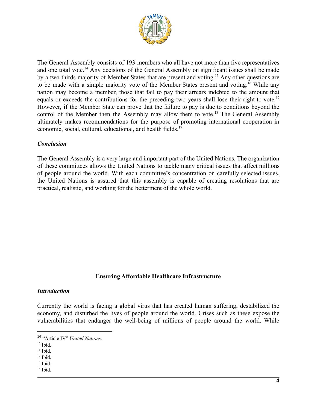

The General Assembly consists of 193 members who all have not more than five representatives and one total vote.<sup> $14$ </sup> Any decisions of the General Assembly on significant issues shall be made by a two-thirds majority of Member States that are present and voting.<sup>15</sup> Any other questions are to be made with a simple majority vote of the Member States present and voting.<sup>16</sup> While any nation may become a member, those that fail to pay their arrears indebted to the amount that equals or exceeds the contributions for the preceding two years shall lose their right to vote.<sup>17</sup> However, if the Member State can prove that the failure to pay is due to conditions beyond the control of the Member then the Assembly may allow them to vote.<sup>18</sup> The General Assembly ultimately makes recommendations for the purpose of promoting international cooperation in economic, social, cultural, educational, and health fields.<sup>19</sup>

## *Conclusion*

The General Assembly is a very large and important part of the United Nations. The organization of these committees allows the United Nations to tackle many critical issues that affect millions of people around the world. With each committee's concentration on carefully selected issues, the United Nations is assured that this assembly is capable of creating resolutions that are practical, realistic, and working for the betterment of the whole world.

#### **Ensuring Affordable Healthcare Infrastructure**

#### *Introduction*

Currently the world is facing a global virus that has created human suffering, destabilized the economy, and disturbed the lives of people around the world. Crises such as these expose the vulnerabilities that endanger the well-being of millions of people around the world. While

<sup>14</sup> "Article IV" *United Nations.*

 $15$  Ibid.

 $16$  Ibid.

 $17$  Ibid.

 $18$  Ibid.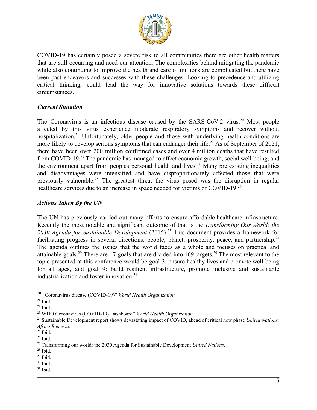

COVID-19 has certainly posed a severe risk to all communities there are other health matters that are still occurring and need our attention. The complexities behind mitigating the pandemic while also continuing to improve the health and care of millions are complicated but there have been past endeavors and successes with these challenges. Looking to precedence and utilizing critical thinking, could lead the way for innovative solutions towards these difficult circumstances.

#### *Current Situation*

The Coronavirus is an infectious disease caused by the SARS-CoV-2 virus.<sup>20</sup> Most people affected by this virus experience moderate respiratory symptoms and recover without hospitalization.<sup>21</sup> Unfortunately, older people and those with underlying health conditions are more likely to develop serious symptoms that can endanger their life.<sup>22</sup> As of September of 2021, there have been over 200 million confirmed cases and over 4 million deaths that have resulted from COVID-19.<sup>23</sup> The pandemic has managed to affect economic growth, social well-being, and the environment apart from peoples personal health and lives.<sup>24</sup> Many pre existing inequalities and disadvantages were intensified and have disproportionately affected those that were previously vulnerable.<sup>25</sup> The greatest threat the virus posed was the disruption in regular healthcare services due to an increase in space needed for victims of COVID-19.<sup>26</sup>

## *Actions Taken By the UN*

The UN has previously carried out many efforts to ensure affordable healthcare infrastructure. Recently the most notable and significant outcome of that is the *Transforming Our World: the 2030 Agenda for Sustainable Development* (2015)*.* This document provides a framework for *<sup>27</sup>* facilitating progress in several directions: people, planet, prosperity, peace, and partnership.<sup>28</sup> The agenda outlines the issues that the world faces as a whole and focuses on practical and attainable goals.<sup>29</sup> There are 17 goals that are divided into 169 targets.<sup>30</sup> The most relevant to the topic presented at this conference would be goal 3: ensure healthy lives and promote well-being for all ages, and goal 9: build resilient infrastructure, promote inclusive and sustainable industrialization and foster innovation.<sup>31</sup>

<sup>20</sup> "Coronavirus disease (COVID-19)" *World Health Organization.*

 $21$  Ibid.

 $22$  Ibid.

<sup>23</sup> WHO Coronavirus (COVID-19) Dashboard" *World Health Organization.*

<sup>24</sup> Sustainable Development report shows devastating impact of COVID, ahead of critical new phase *United Nations: Africa Renewal.*

 $25$  Ibid.

 $26$  Ibid.

<sup>27</sup> Transforming our world: the 2030 Agenda for Sustainable Development *United Nations.*

 $28$  Ibid.

 $29$  Ibid.

 $30$  Ibid.

 $31$  Ibid.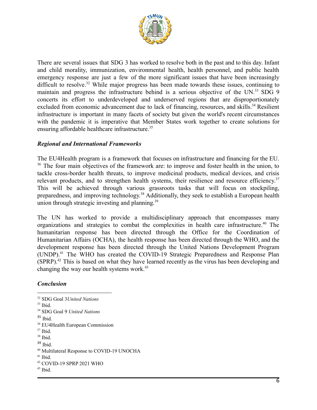

There are several issues that SDG 3 has worked to resolve both in the past and to this day. Infant and child morality, immunization, environmental health, health personnel, and public health emergency response are just a few of the more significant issues that have been increasingly difficult to resolve.<sup>32</sup> While major progress has been made towards these issues, continuing to maintain and progress the infrastructure behind is a serious objective of the UN.<sup>33</sup> SDG 9 concerts its effort to underdeveloped and underserved regions that are disproportionately excluded from economic advancement due to lack of financing, resources, and skills.<sup>34</sup> Resilient infrastructure is important in many facets of society but given the world's recent circumstances with the pandemic it is imperative that Member States work together to create solutions for ensuring affordable healthcare infrastructure.<sup>35</sup>

## *Regional and International Frameworks*

The EU4Health program is a framework that focuses on infrastructure and financing for the EU.  $36$  The four main objectives of the framework are: to improve and foster health in the union, to tackle cross-border health threats, to improve medicinal products, medical devices, and crisis relevant products, and to strengthen health systems, their resilience and resource efficiency.<sup>37</sup> This will be achieved through various grassroots tasks that will focus on stockpiling, preparedness, and improving technology.<sup>38</sup> Additionally, they seek to establish a European health union through strategic investing and planning.<sup>39</sup>

The UN has worked to provide a multidisciplinary approach that encompasses many organizations and strategies to combat the complexities in health care infrastructure.<sup>40</sup> The humanitarian response has been directed through the Office for the Coordination of Humanitarian Affairs (OCHA), the health response has been directed through the WHO, and the development response has been directed through the United Nations Development Program  $(UNDP)<sup>41</sup>$  The WHO has created the COVID-19 Strategic Preparedness and Response Plan  $(SPRP)$ .<sup>42</sup> This is based on what they have learned recently as the virus has been developing and changing the way our health systems work.<sup>43</sup>

## *Conclusion*

35 Ibid.

- $37$  Ibid.
- $38$  Ibid.
- <sup>39</sup> Ibid.

 $33$  Ibid. <sup>32</sup> SDG Goal 3*United Nations*

<sup>34</sup> SDG Goal 9 *United Nations*

<sup>36</sup> EU4Health European Commission

<sup>40</sup> Multilateral Response to COVID-19 UNOCHA

 $41$  Ibid.

<sup>42</sup> COVID-19 SPRP 2021 WHO

 $43$  Ibid.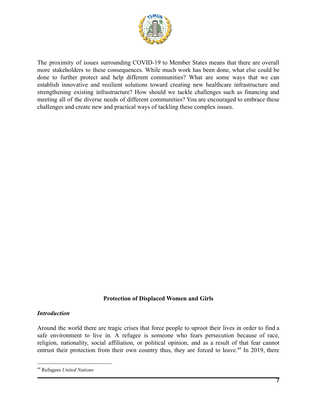

The proximity of issues surrounding COVID-19 to Member States means that there are overall more stakeholders to these consequences. While much work has been done, what else could be done to further protect and help different communities? What are some ways that we can establish innovative and resilient solutions toward creating new healthcare infrastructure and strengthening existing infrastructure? How should we tackle challenges such as financing and meeting all of the diverse needs of different communities? You are encouraged to embrace these challenges and create new and practical ways of tackling these complex issues.

#### **Protection of Displaced Women and Girls**

#### *Introduction*

Around the world there are tragic crises that force people to uproot their lives in order to find a safe environment to live in. A refugee is someone who fears persecution because of race, religion, nationality, social affiliation, or political opinion, and as a result of that fear cannot entrust their protection from their own country thus, they are forced to leave.<sup> $44$ </sup> In 2019, there

<sup>44</sup> Refugees *United Nations*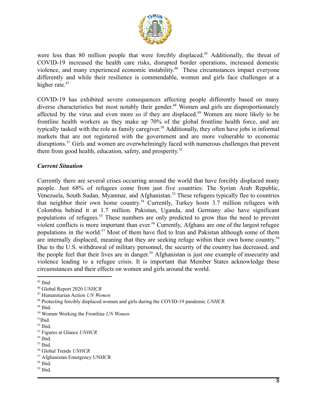

were less than 80 million people that were forcibly displaced.<sup>45</sup> Additionally, the threat of COVID-19 increased the health care risks, disrupted border operations, increased domestic violence, and many experienced economic instability.<sup>46</sup> These circumstances impact everyone differently and while their resilience is commendable, women and girls face challenges at a higher rate.<sup>47</sup>

COVID-19 has exhibited severe consequences affecting people differently based on many diverse characteristics but most notably their gender.<sup>48</sup> Women and girls are disproportionately affected by the virus and even more so if they are displaced.<sup>49</sup> Women are more likely to be frontline health workers as they make up 70% of the global frontline health force, and are typically tasked with the role as family caregiver.<sup>50</sup> Additionally, they often have jobs in informal markets that are not registered with the government and are more vulnerable to economic disruptions.<sup>51</sup> Girls and women are overwhelmingly faced with numerous challenges that prevent them from good health, education, safety, and prosperity. 52

#### *Current Situation*

Currently there are several crises occurring around the world that have forcibly displaced many people. Just 68% of refugees come from just five countries: The Syrian Arab Republic, Venezuela, South Sudan, Myanmar, and Afghanistan.<sup>53</sup> These refugees typically flee to countries that neighbor their own home country.<sup>54</sup> Currently, Turkey hosts  $3.7$  million refugees with Colombia behind it at 1.7 million. Pakistan, Uganda, and Germany also have significant populations of refugees.<sup>55</sup> These numbers are only predicted to grow thus the need to prevent violent conflicts is more important than ever.<sup>56</sup> Currently, Afghans are one of the largest refugee populations in the world.<sup>57</sup> Most of them have fled to Iran and Pakistan although some of them are internally displaced, meaning that they are seeking refuge within their own home country.<sup>58</sup> Due to the U.S. withdrawal of military personnel, the security of the country has decreased, and the people feel that their lives are in danger.<sup>59</sup> Afghanistan is just one example of insecurity and violence leading to a refugee crisis. It is important that Member States acknowledge these circumstances and their effects on women and girls around the world.

<sup>45</sup> Ibid.

<sup>46</sup> Global Report 2020 *UNHCR*

<sup>47</sup> Humanitarian Action *UN Women*

<sup>48</sup> Protecting forcibly displaced women and girls during the COVID-19 pandemic *UNHCR.*

 $49$  Ibid.

<sup>50</sup> Women Working the Frontline *UN Women*

 $51$ Ibid.

 $52$  Ibid.

<sup>53</sup> Figures at Glance *UNHCR*

<sup>54</sup> Ibid.

 $55$  Ibid.

<sup>56</sup> Global Trends *UNHCR*

<sup>57</sup> Afghanistan Emergency UNHCR

<sup>58</sup> Ibid.

<sup>59</sup> Ibid.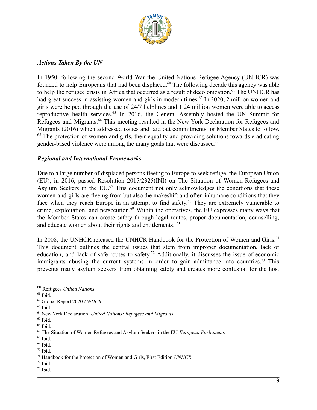

#### *Actions Taken By the UN*

In 1950, following the second World War the United Nations Refugee Agency (UNHCR) was founded to help Europeans that had been displaced.<sup>60</sup> The following decade this agency was able to help the refugee crisis in Africa that occurred as a result of decolonization.<sup>61</sup> The UNHCR has had great success in assisting women and girls in modern times.<sup>62</sup> In 2020, 2 million women and girls were helped through the use of 24/7 helplines and 1.24 million women were able to access reproductive health services.<sup>63</sup> In 2016, the General Assembly hosted the UN Summit for Refugees and Migrants.<sup>64</sup> This meeting resulted in the New York Declaration for Refugees and Migrants (2016) which addressed issues and laid out commitments for Member States to follow.  $65$  The protection of women and girls, their equality and providing solutions towards eradicating gender-based violence were among the many goals that were discussed.<sup>66</sup>

#### *Regional and International Frameworks*

Due to a large number of displaced persons fleeing to Europe to seek refuge, the European Union (EU), in 2016, passed Resolution 2015/2325(INI) on The Situation of Women Refugees and Asylum Seekers in the  $EU$ .<sup>67</sup> This document not only acknowledges the conditions that these women and girls are fleeing from but also the makeshift and often inhumane conditions that they face when they reach Europe in an attempt to find safety.<sup>68</sup> They are extremely vulnerable to crime, exploitation, and persecution.<sup> $69$ </sup> Within the operatives, the EU expresses many ways that the Member States can create safety through legal routes, proper documentation, counselling, and educate women about their rights and entitlements.  $\frac{70}{2}$ 

In 2008, the UNHCR released the UNHCR Handbook for the Protection of Women and Girls.<sup>71</sup> This document outlines the central issues that stem from improper documentation, lack of education, and lack of safe routes to safety.<sup>72</sup> Additionally, it discusses the issue of economic immigrants abusing the current systems in order to gain admittance into countries.<sup>73</sup> This prevents many asylum seekers from obtaining safety and creates more confusion for the host

<sup>60</sup> Refugees *United Nations*

 $61$  Ibid.

<sup>62</sup> Global Report 2020 *UNHCR.*

 $63$  Ibid.

<sup>64</sup> New York Declaration. *United Nations: Refugees and Migrants*

 $65$  Ibid.

 $66$  Ibid.

<sup>67</sup> The Situation of Women Refugees and Asylum Seekers in the EU *European Parliament.*

<sup>68</sup> Ibid.

 $69$  Ibid.

 $70$  Ibid.

<sup>71</sup> Handbook for the Protection of Women and Girls, First Edition *UNHCR*

 $72$  Ibid.

 $73$  Ibid.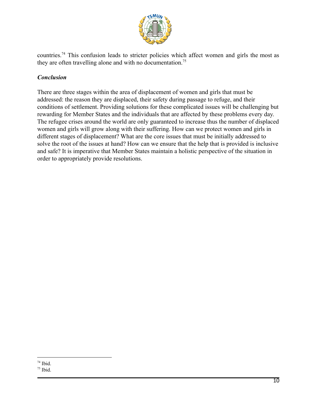

countries.<sup>74</sup> This confusion leads to stricter policies which affect women and girls the most as they are often travelling alone and with no documentation.<sup>75</sup>

# *Conclusion*

There are three stages within the area of displacement of women and girls that must be addressed: the reason they are displaced, their safety during passage to refuge, and their conditions of settlement. Providing solutions for these complicated issues will be challenging but rewarding for Member States and the individuals that are affected by these problems every day. The refugee crises around the world are only guaranteed to increase thus the number of displaced women and girls will grow along with their suffering. How can we protect women and girls in different stages of displacement? What are the core issues that must be initially addressed to solve the root of the issues at hand? How can we ensure that the help that is provided is inclusive and safe? It is imperative that Member States maintain a holistic perspective of the situation in order to appropriately provide resolutions.

 $74$  Ibid.

 $75$  Ibid.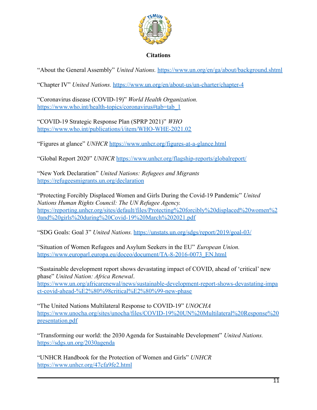

## **Citations**

"About the General Assembly" *United Nations.* <https://www.un.org/en/ga/about/background.shtml>

"Chapter IV" *United Nations.* <https://www.un.org/en/about-us/un-charter/chapter-4>

"Coronavirus disease (COVID-19)" *World Health Organization.* [https://www.who.int/health-topics/coronavirus#tab=tab\\_1](https://www.who.int/health-topics/coronavirus#tab=tab_1)

"COVID-19 Strategic Response Plan (SPRP 2021)" *WHO* <https://www.who.int/publications/i/item/WHO-WHE-2021.02>

"Figures at glance" *UNHCR* <https://www.unhcr.org/figures-at-a-glance.html>

"Global Report 2020" *UNHCR* <https://www.unhcr.org/flagship-reports/globalreport/>

"New York Declaration" *United Nations: Refugees and Migrants* <https://refugeesmigrants.un.org/declaration>

"Protecting Forcibly Displaced Women and Girls During the Covid-19 Pandemic" *United Nations Human Rights Council: The UN Refugee Agency.* [https://reporting.unhcr.org/sites/default/files/Protecting%20forcibly%20displaced%20women%2](https://reporting.unhcr.org/sites/default/files/Protecting%20forcibly%20displaced%20women%20and%20girls%20during%20Covid-19%20March%202021.pdf) [0and%20girls%20during%20Covid-19%20March%202021.pdf](https://reporting.unhcr.org/sites/default/files/Protecting%20forcibly%20displaced%20women%20and%20girls%20during%20Covid-19%20March%202021.pdf)

"SDG Goals: Goal 3" *United Nations.* <https://unstats.un.org/sdgs/report/2019/goal-03/>

"Situation of Women Refugees and Asylum Seekers in the EU" *European Union.* [https://www.europarl.europa.eu/doceo/document/TA-8-2016-0073\\_EN.html](https://www.europarl.europa.eu/doceo/document/TA-8-2016-0073_EN.html)

"Sustainable development report shows devastating impact of COVID, ahead of 'critical' new phase" *United Nation: Africa Renewal*. [https://www.un.org/africarenewal/news/sustainable-development-report-shows-devastating-impa](https://www.un.org/africarenewal/news/sustainable-development-report-shows-devastating-impact-covid-ahead-%E2%80%98critical%E2%80%99-new-phase) [ct-covid-ahead-%E2%80%98critical%E2%80%99-new-phase](https://www.un.org/africarenewal/news/sustainable-development-report-shows-devastating-impact-covid-ahead-%E2%80%98critical%E2%80%99-new-phase)

"The United Nations Multilateral Response to COVID-19" *UNOCHA* [https://www.unocha.org/sites/unocha/files/COVID-19%20UN%20Multilateral%20Response%20](https://www.unocha.org/sites/unocha/files/COVID-19%20UN%20Multilateral%20Response%20presentation.pdf) [presentation.pdf](https://www.unocha.org/sites/unocha/files/COVID-19%20UN%20Multilateral%20Response%20presentation.pdf)

"Transforming our world: the 2030 Agenda for Sustainable Development" *United Nations.* <https://sdgs.un.org/2030agenda>

"UNHCR Handbook for the Protection of Women and Girls" *UNHCR* <https://www.unhcr.org/47cfa9fe2.html>